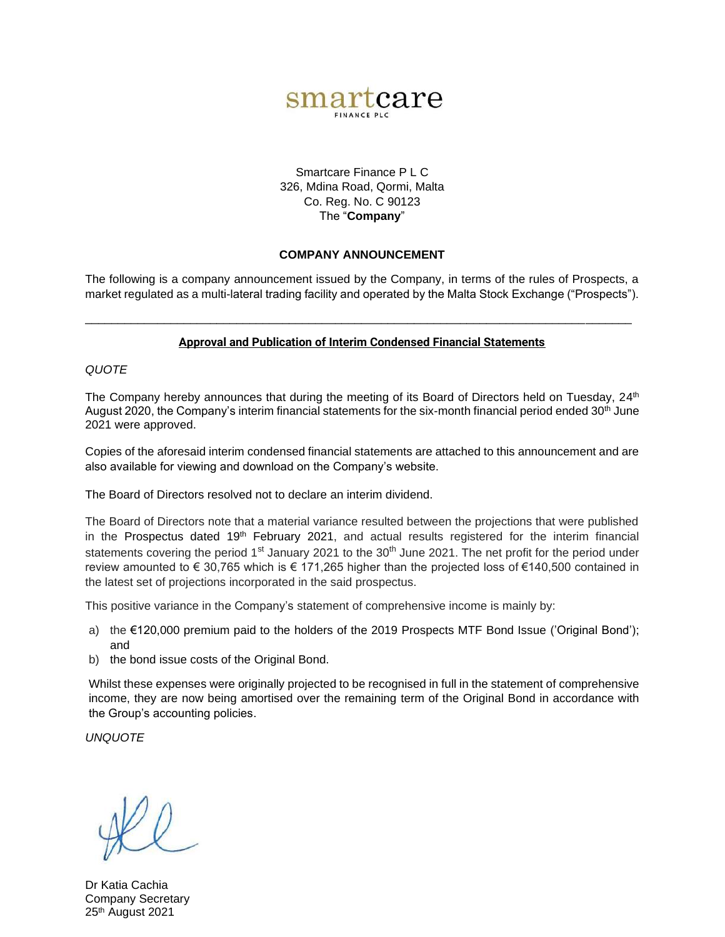

Smartcare Finance P L C 326, Mdina Road, Qormi, Malta Co. Reg. No. C 90123 The "**Company**"

# **COMPANY ANNOUNCEMENT**

The following is a company announcement issued by the Company, in terms of the rules of Prospects, a market regulated as a multi-lateral trading facility and operated by the Malta Stock Exchange ("Prospects").

# **Approval and Publication of Interim Condensed Financial Statements**

\_\_\_\_\_\_\_\_\_\_\_\_\_\_\_\_\_\_\_\_\_\_\_\_\_\_\_\_\_\_\_\_\_\_\_\_\_\_\_\_\_\_\_\_\_\_\_\_\_\_\_\_\_\_\_\_\_\_\_\_\_\_\_\_\_\_\_\_\_\_\_\_\_\_\_\_\_\_\_\_\_\_\_

*QUOTE*

The Company hereby announces that during the meeting of its Board of Directors held on Tuesday, 24<sup>th</sup> August 2020, the Company's interim financial statements for the six-month financial period ended 30<sup>th</sup> June 2021 were approved.

Copies of the aforesaid interim condensed financial statements are attached to this announcement and are also available for viewing and download on the Company's website.

The Board of Directors resolved not to declare an interim dividend.

The Board of Directors note that a material variance resulted between the projections that were published in the Prospectus dated  $19<sup>th</sup>$  February 2021, and actual results registered for the interim financial statements covering the period 1<sup>st</sup> January 2021 to the  $30<sup>th</sup>$  June 2021. The net profit for the period under review amounted to € 30,765 which is € 171,265 higher than the projected loss of €140,500 contained in the latest set of projections incorporated in the said prospectus.

This positive variance in the Company's statement of comprehensive income is mainly by:

- a) the €120,000 premium paid to the holders of the 2019 Prospects MTF Bond Issue ('Original Bond'); and
- b) the bond issue costs of the Original Bond.

Whilst these expenses were originally projected to be recognised in full in the statement of comprehensive income, they are now being amortised over the remaining term of the Original Bond in accordance with the Group's accounting policies.

*UNQUOTE* 

Dr Katia Cachia Company Secretary 25<sup>th</sup> August 2021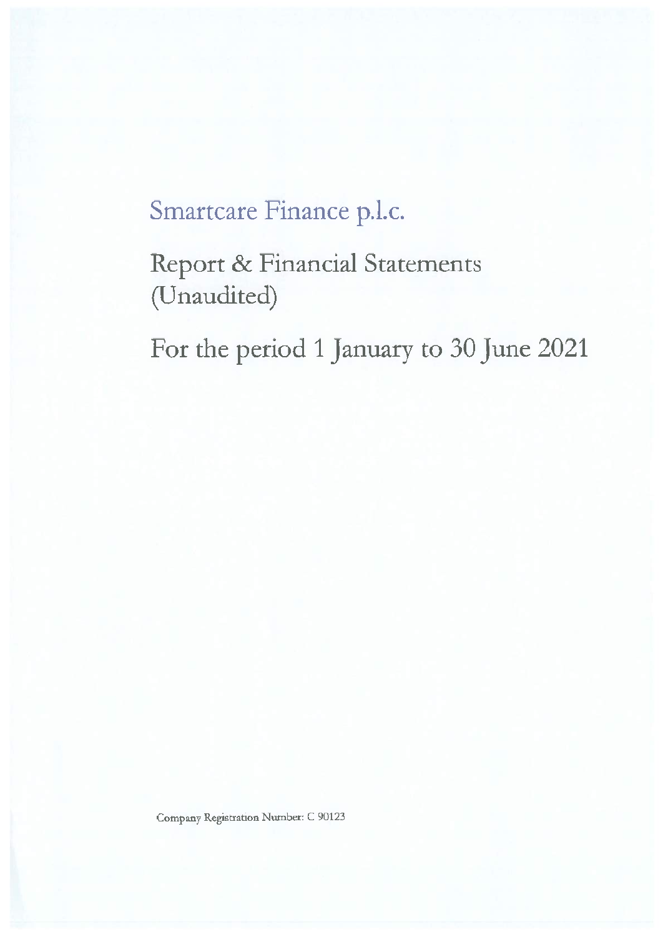# Smartcare Finance p.l.c.

Report & Financial Statements (Unaudited)

For the period 1 January to 30 June 2021

Company Registration Number: C 90123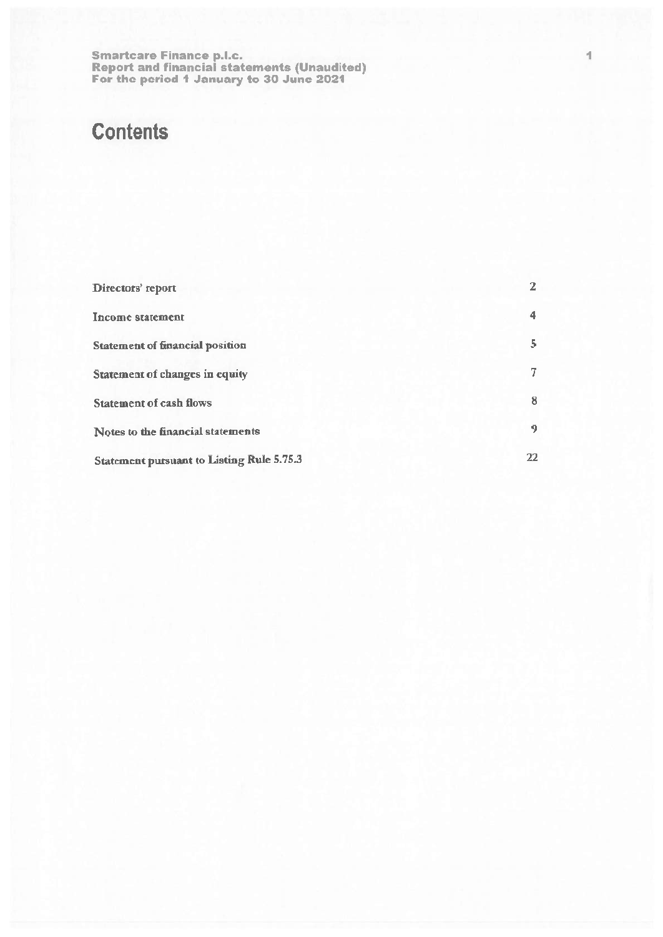# **Contents**

| Directors' report                                | 2  |
|--------------------------------------------------|----|
| Income statement                                 | 4  |
| <b>Statement of financial position</b>           | 5  |
| <b>Statement of changes in equity</b>            | 7  |
| <b>Statement of cash flows</b>                   | 8  |
| Notes to the financial statements                | 9. |
| <b>Statement pursuant to Listing Rule 5.75.3</b> | 22 |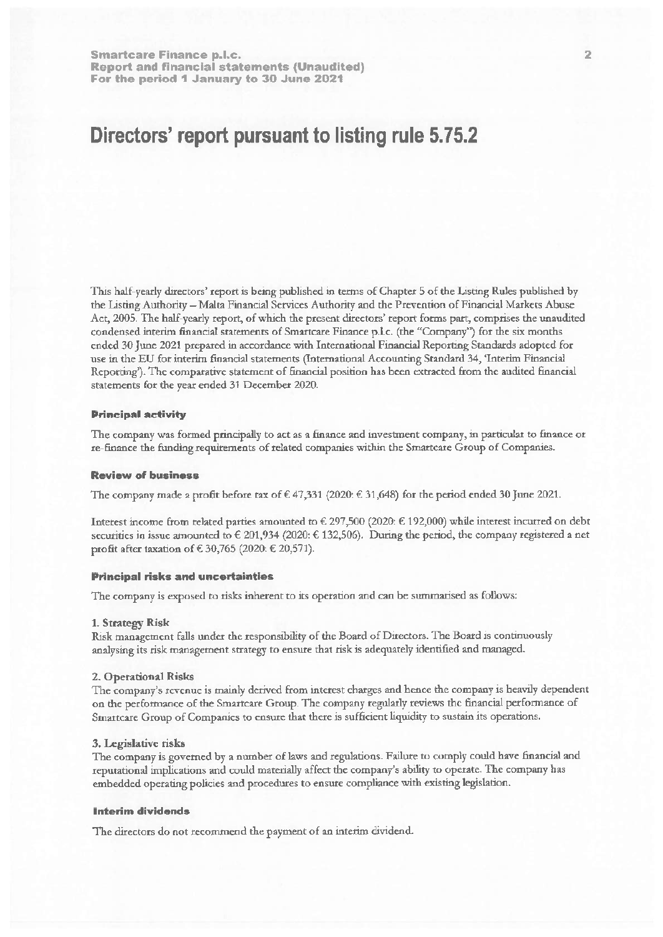# Directors' report pursuant to listing rule 5.75.2

This half-yearly directors' report is being published in terms of Chapter 5 of the Listing Rules published by the Listing Authority - Malta Financial Services Authority and the Prevention of Financial Markets Abuse Act, 2005. The half-yearly report, of which the present directors' report forms part, comprises the unaudited condensed interim financial statements of Smartcare Finance p.l.c. (the "Company") for the six months ended 30 June 2021 prepared in accordance with International Financial Reporting Standards adopted for use in the EU for interim financial statements (International Accounting Standard 34, 'Interim Financial Reporting'). The comparative statement of financial position has been extracted from the audited financial statements for the year ended 31 December 2020.

#### **Principal activity**

The company was formed principally to act as a finance and investment company, in particular to finance or re-finance the funding requirements of related companies within the Smartcare Group of Companies.

### **Review of business**

The company made a profit before tax of  $\in$  47,331 (2020:  $\in$  31,648) for the period ended 30 June 2021.

Interest income from related parties amounted to € 297,500 (2020: € 192,000) while interest incurred on debt securities in issue amounted to  $\in$  201,934 (2020:  $\in$  132,506). During the period, the company registered a net profit after taxation of € 30,765 (2020: € 20,571).

## **Principal risks and uncertainties**

The company is exposed to risks inherent to its operation and can be summarised as follows:

### 1. Strategy Risk

Risk management falls under the responsibility of the Board of Directors. The Board is continuously analysing its risk management strategy to ensure that risk is adequately identified and managed.

#### 2. Operational Risks

The company's revenue is mainly derived from interest charges and hence the company is heavily dependent on the performance of the Smartcare Group. The company regularly reviews the financial performance of Smartcare Group of Companies to ensure that there is sufficient liquidity to sustain its operations.

# 3. Legislative risks

The company is governed by a number of laws and regulations. Failure to comply could have financial and reputational implications and could materially affect the company's ability to operate. The company has embedded operating policies and procedures to ensure compliance with existing legislation.

## **Interim dividends**

The directors do not recommend the payment of an interim dividend.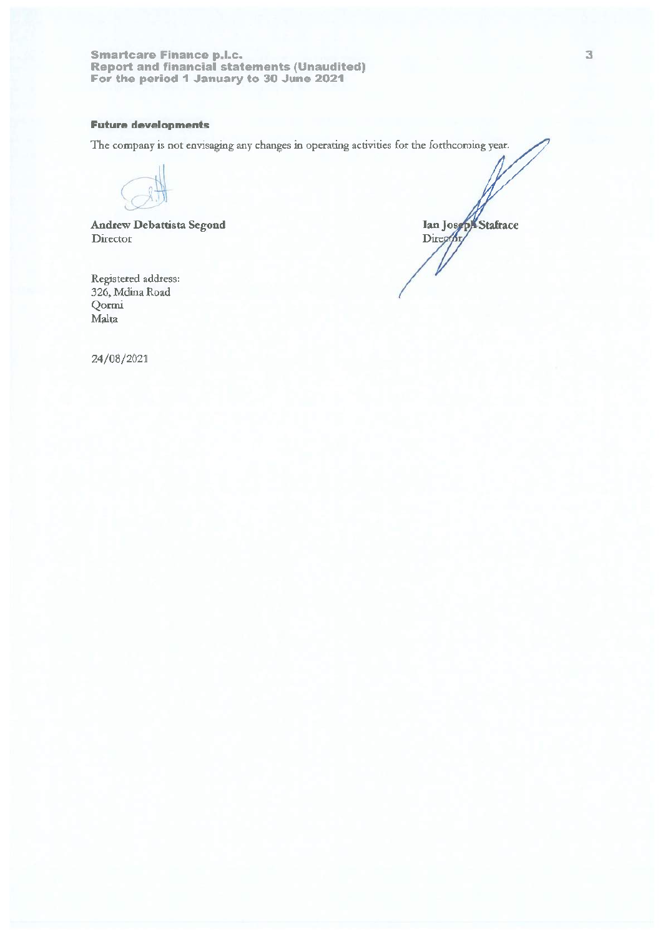# **Future developments**

The company is not envisaging any changes in operating activities for the forthcoming year.

**Andrew Debattista Segond** Director

Registered address: 326, Mdina Road Qormi Malta

Ian Joseph Stafrace Direg

24/08/2021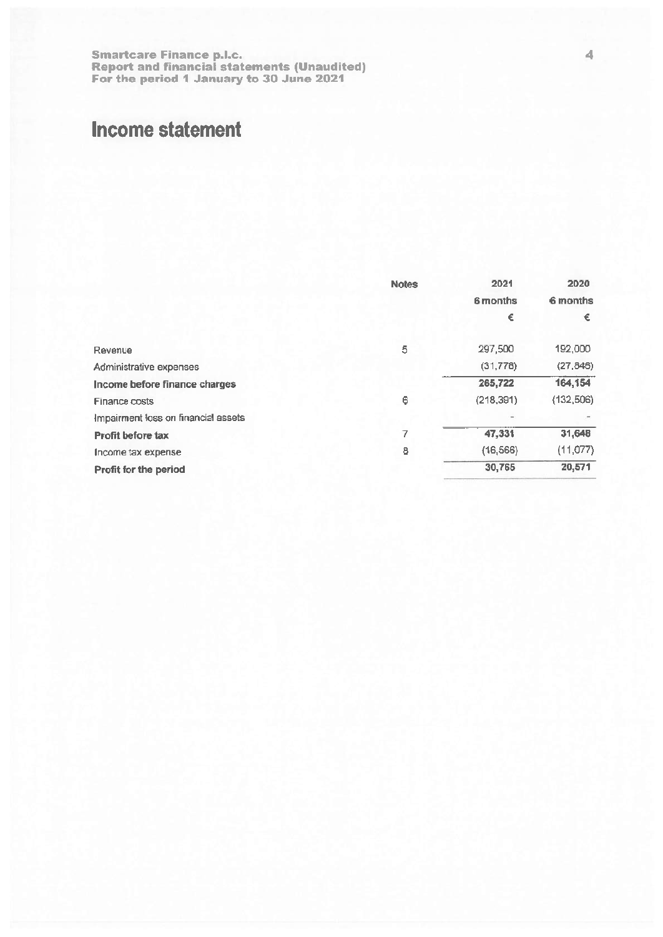# **Income statement**

|                                     | <b>Notes</b> | 2021       | 2020       |
|-------------------------------------|--------------|------------|------------|
|                                     |              | 6 months   | 6 months   |
|                                     |              | €          | €          |
| Revenue                             | 5            | 297,500    | 192,000    |
| Administrative expenses             |              | (31, 778)  | (27, 846)  |
| Income before finance charges       |              | 265,722    | 164,154    |
| <b>Finance costs</b>                | 6            | (218, 391) | (132, 506) |
| Impairment loss on financial assets |              |            |            |
| <b>Profit before tax</b>            | 7            | 47,331     | 31,648     |
| Income tax expense                  | 8            | (16, 566)  | (11, 077)  |
| Profit for the period               |              | 30,765     | 20,571     |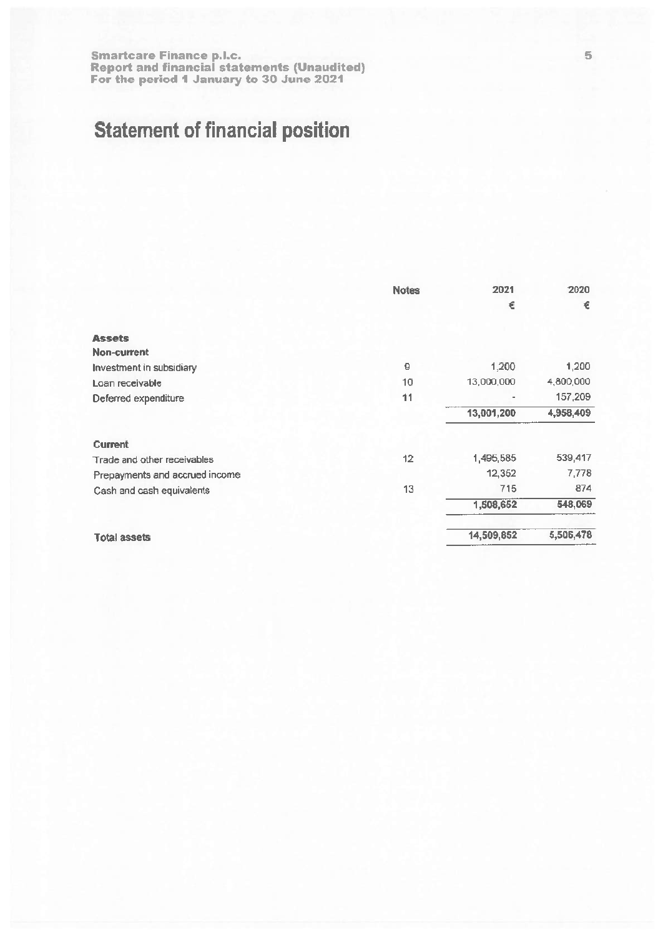# **Statement of financial position**

|                                | <b>Notes</b> | 2021       | 2020      |
|--------------------------------|--------------|------------|-----------|
|                                |              | €          | €         |
| <b>Assets</b>                  |              |            |           |
| Non-current                    |              |            |           |
| Investment in subsidiary       | 9            | 1,200      | 1,200     |
| Loan receivable                | 10           | 13,000,000 | 4,800,000 |
| Deferred expenditure           | 11           |            | 157,209   |
|                                |              | 13,001,200 | 4,958,409 |
| <b>Current</b>                 |              |            |           |
| Trade and other receivables    | 12           | 1,495,585  | 539,417   |
| Prepayments and accrued income |              | 12,352     | 7,778     |
| Cash and cash equivalents      | 13           | 715        | 874       |
|                                |              | 1,508,652  | 548,069   |
| <b>Total assets</b>            |              | 14,509,852 | 5,506,478 |
|                                |              |            |           |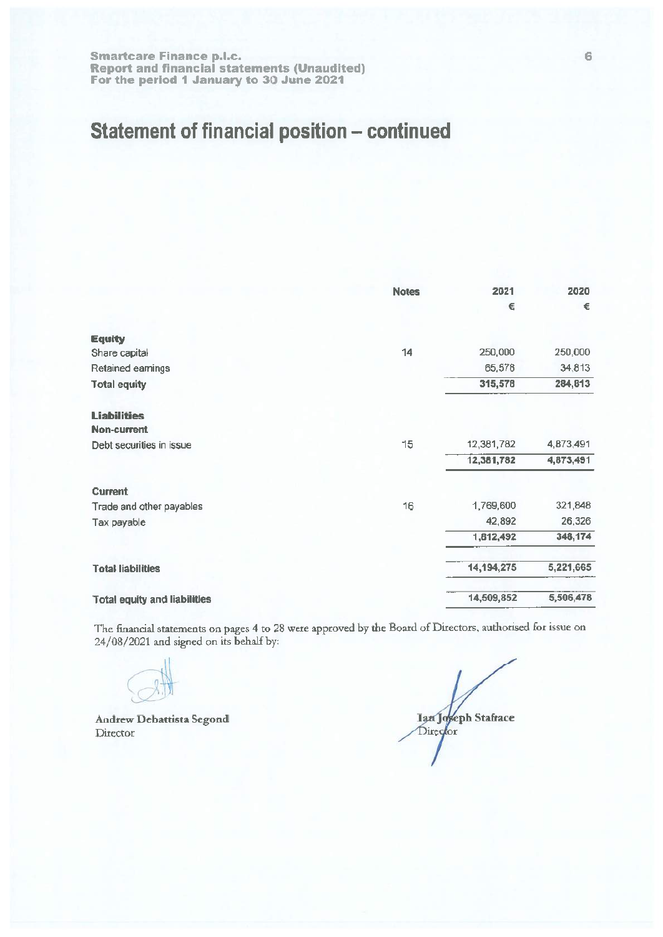# Statement of financial position - continued

|                                     | <b>Notes</b> | 2021         | 2020      |
|-------------------------------------|--------------|--------------|-----------|
|                                     |              | €            | €         |
|                                     |              |              |           |
| <b>Equity</b>                       |              |              |           |
| Share capital                       | 14           | 250,000      | 250,000   |
| Retained earnings                   |              | 65,578       | 34,813    |
| <b>Total equity</b>                 |              | 315,578      | 284,813   |
| <b>Liabilities</b>                  |              |              |           |
| <b>Non-current</b>                  |              |              |           |
| Debt securities in issue            | 15           | 12,381,782   | 4,873,491 |
|                                     |              | 12,381,782   | 4,873,491 |
| <b>Current</b>                      |              |              |           |
| Trade and other payables            | 16           | 1,769,600    | 321,848   |
| Tax payable                         |              | 42,892       | 26,326    |
|                                     |              | 1,812,492    | 348,174   |
| <b>Total liabilities</b>            |              | 14, 194, 275 | 5,221,665 |
| <b>Total equity and liabilities</b> |              | 14,509,852   | 5,506,478 |

The financial statements on pages 4 to 28 were approved by the Board of Directors, authorised for issue on 24/08/2021 and signed on its behalf by:

**Andrew Debattista Segond** Director

Ian Joseph Stafrace Director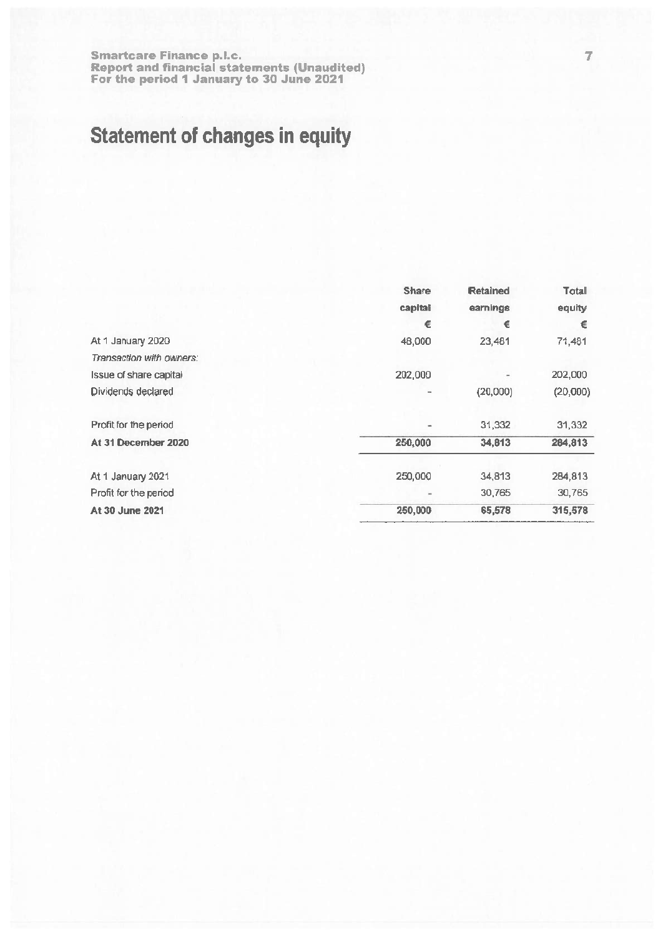# **Statement of changes in equity**

|                          | <b>Share</b>   | <b>Retained</b> | Total    |
|--------------------------|----------------|-----------------|----------|
|                          | capital        | earnings        | equity   |
|                          | €              | €               | €        |
| At 1 January 2020        | 48,000         | 23,481          | 71,481   |
| Transaction with owners: |                |                 |          |
| Issue of share capital   | 202,000        |                 | 202,000  |
| Dividends declared       | ۰              | (20,000)        | (20,000) |
| Profit for the period    | $\blacksquare$ | 31,332          | 31,332   |
| At 31 December 2020      | 250,000        | 34,813          | 284,813  |
| At 1 January 2021        | 250,000        | 34,813          | 284,813  |
| Profit for the period    |                | 30,765          | 30,765   |
| At 30 June 2021          | 250,000        | 65,578          | 315,578  |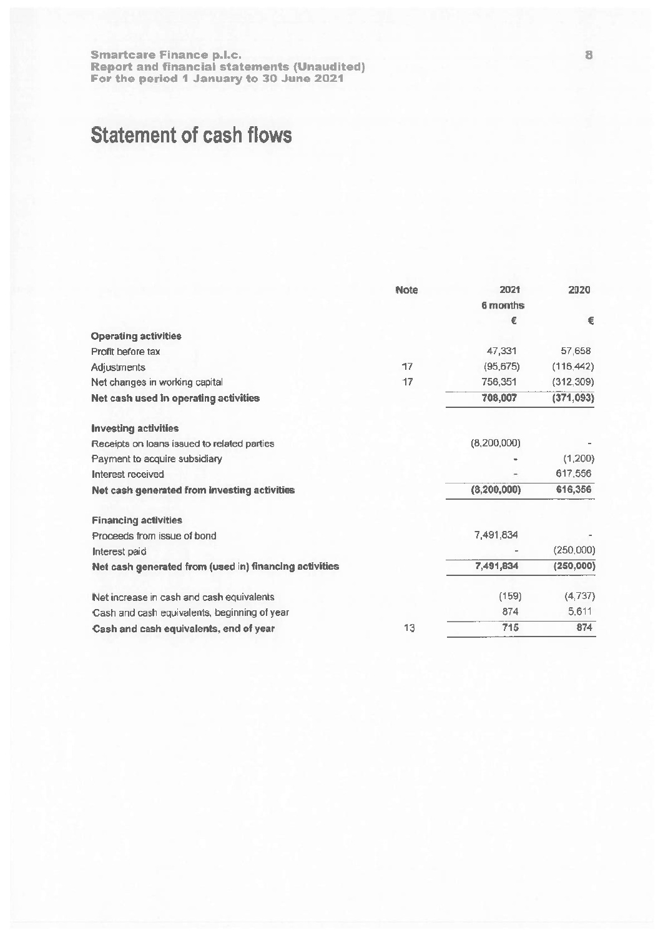# **Statement of cash flows**

|                                                        | <b>Note</b> | 2021            | 2020       |
|--------------------------------------------------------|-------------|-----------------|------------|
|                                                        |             | <b>6 months</b> |            |
|                                                        |             | €               | €          |
| <b>Operating activities</b>                            |             |                 |            |
| Profit before tax                                      |             | 47,331          | 57,658     |
| Adjustments                                            | 17          | (95,675)        | (116, 442) |
| Net changes in working capital                         | 17          | 756,351         | (312, 309) |
| Net cash used in operating activities                  |             | 708,007         | (371, 093) |
| <b>Investing activities</b>                            |             |                 |            |
| Receipts on loans issued to related parties            |             | (8,200,000)     |            |
| Payment to acquire subsidiary                          |             |                 | (1,200)    |
| Interest received                                      |             |                 | 617,556    |
| Net cash generated from investing activities           |             | (8, 200, 000)   | 616,356    |
| <b>Financing activities</b>                            |             |                 |            |
| Proceeds from issue of bond                            |             | 7,491,834       |            |
| Interest paid                                          |             |                 | (250,000)  |
| Net cash generated from (used in) financing activities |             | 7,491,834       | (250,000)  |
| Net increase in cash and cash equivalents              |             | (159)           | (4,737)    |
| Cash and cash equivalents, beginning of year           |             | 874             | 5,611      |
| Cash and cash equivalents, end of year                 | 13          | 715             | 874        |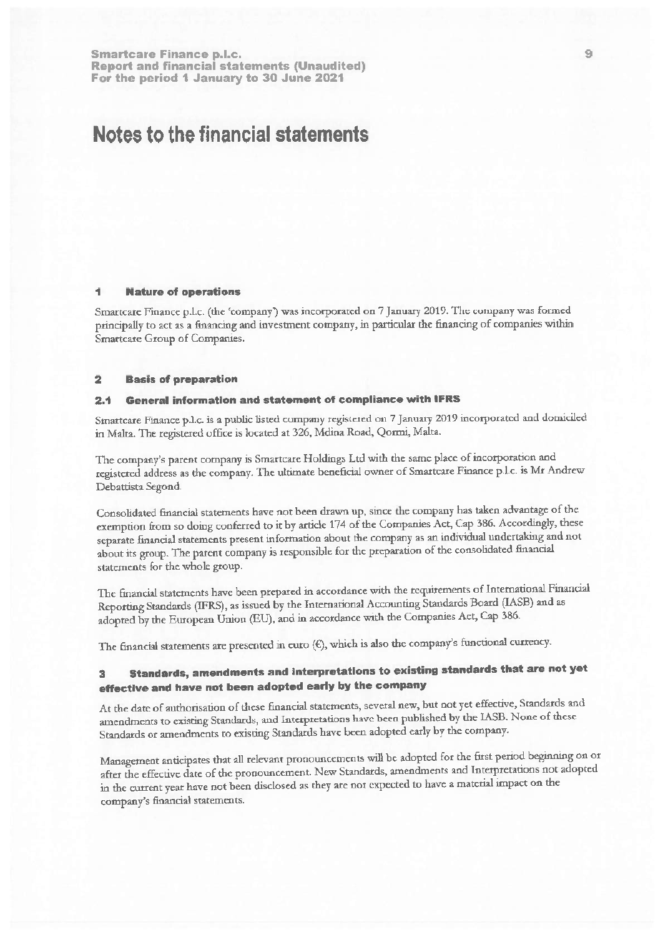# Notes to the financial statements

### **Nature of operations**

Smartcare Finance p.l.c. (the 'company') was incorporated on 7 January 2019. The company was formed principally to act as a financing and investment company, in particular the financing of companies within Smartcare Group of Companies.

#### $\overline{2}$ **Basis of preparation**

#### General information and statement of compliance with IFRS  $2.4$

Smartcare Finance p.l.c. is a public listed company registered on 7 January 2019 incorporated and domiciled in Malta. The registered office is located at 326, Mdina Road, Qormi, Malta.

The company's parent company is Smartcare Holdings Ltd with the same place of incorporation and registered address as the company. The ultimate beneficial owner of Smartcare Finance p.l.c. is Mr Andrew Debattista Segond.

Consolidated financial statements have not been drawn up, since the company has taken advantage of the exemption from so doing conferred to it by article 174 of the Companies Act, Cap 386. Accordingly, these separate financial statements present information about the company as an individual undertaking and not about its group. The parent company is responsible for the preparation of the consolidated financial statements for the whole group.

The financial statements have been prepared in accordance with the requirements of International Financial Reporting Standards (IFRS), as issued by the International Accounting Standards Board (IASB) and as adopted by the European Union (EU), and in accordance with the Companies Act, Cap 386.

The financial statements are presented in euro  $(\epsilon)$ , which is also the company's functional currency.

### Standards, amendments and interpretations to existing standards that are not yet  $\mathbf{R}$ effective and have not been adopted early by the company

At the date of authorisation of these financial statements, several new, but not yet effective, Standards and amendments to existing Standards, and Interpretations have been published by the IASB. None of these Standards or amendments to existing Standards have been adopted early by the company.

Management anticipates that all relevant pronouncements will be adopted for the first period beginning on or after the effective date of the pronouncement. New Standards, amendments and Interpretations not adopted in the current year have not been disclosed as they are not expected to have a material impact on the company's financial statements.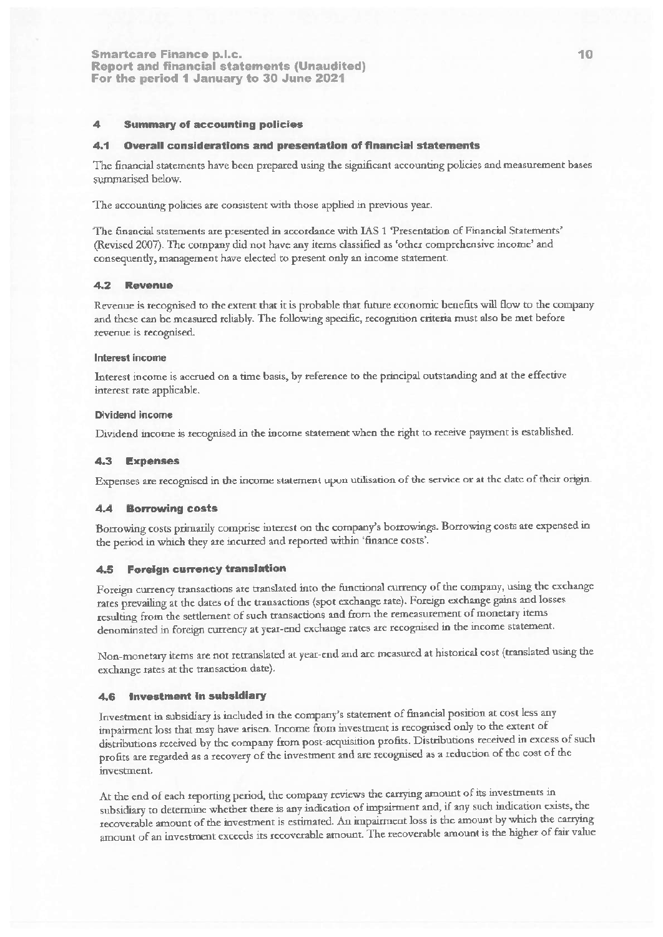#### **Summary of accounting policies** ◢

#### $4.1$ **Overall considerations and presentation of financial statements**

The financial statements have been prepared using the significant accounting policies and measurement bases summarised below.

The accounting policies are consistent with those applied in previous year.

The financial statements are presented in accordance with IAS 1 Presentation of Financial Statements' (Revised 2007). The company did not have any items classified as 'other comprehensive income' and consequently, management have elected to present only an income statement.

#### $4.2$ Revenue

Revenue is recognised to the extent that it is probable that future economic benefits will flow to the company and these can be measured reliably. The following specific, recognition criteria must also be met before revenue is recognised.

## Interest income

Interest income is accrued on a time basis, by reference to the principal outstanding and at the effective interest rate applicable.

### **Dividend income**

Dividend income is recognised in the income statement when the right to receive payment is established.

### 4.3 Expenses

Expenses are recognised in the income statement upon utilisation of the service or at the date of their origin.

#### $4.4$ **Borrowing costs**

Borrowing costs primarily comprise interest on the company's borrowings. Borrowing costs are expensed in the period in which they are incurred and reported within 'finance costs'.

#### **Foreign currency translation**  $4.5$

Foreign currency transactions are translated into the functional currency of the company, using the exchange rates prevailing at the dates of the transactions (spot exchange rate). Foreign exchange gains and losses resulting from the settlement of such transactions and from the remeasurement of monetary items denominated in foreign currency at year-end exchange rates are recognised in the income statement.

Non-monetary items are not retranslated at year-end and are measured at historical cost (translated using the exchange rates at the transaction date).

## 4.6 Investment in subsidiary

Investment in subsidiary is included in the company's statement of financial position at cost less any impairment loss that may have arisen. Income from investment is recognised only to the extent of distributions received by the company from post-acquisition profits. Distributions received in excess of such profits are regarded as a recovery of the investment and are recognised as a reduction of the cost of the investment.

At the end of each reporting period, the company reviews the carrying amount of its investments in subsidiary to determine whether there is any indication of impairment and, if any such indication exists, the recoverable amount of the investment is estimated. An impairment loss is the amount by which the carrying amount of an investment exceeds its recoverable amount. The recoverable amount is the higher of fair value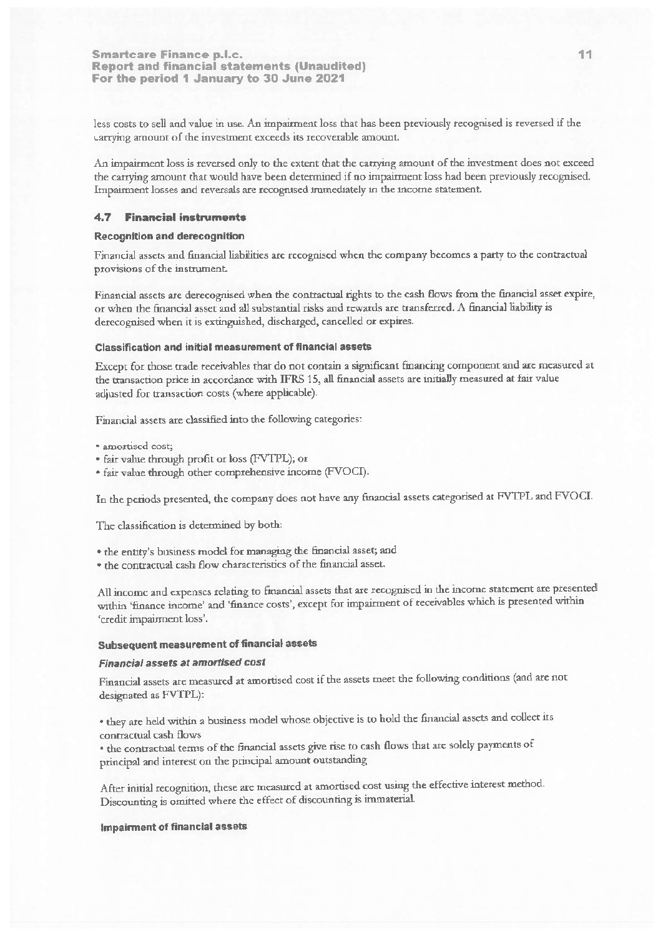less costs to sell and value in use. An impairment loss that has been previously recognised is reversed if the carrying amount of the investment exceeds its recoverable amount.

An impairment loss is reversed only to the extent that the catrying amount of the investment does not exceed the carrying amount that would have been determined if no impairment loss had been previously recognised. Impairment losses and reversals are recognised immediately in the income statement.

## **4.7 Financial instruments**

## **Recognition and derecognition**

Financial assets and financial liabilities are recognised when the company becomes a party to the contractual provisions of the instrument.

Financial assets are derecognised when the contractual rights to the cash flows from the financial asset expire, or when the financial asset and all substantial risks and rewards are transferred. A financial liability is derecognised when it is extinguished, discharged, cancelled or expires.

## **Classification and initial measurement of financial assets**

Except for those trade receivables that do not contain a significant financing component and are measured at the transaction price in accordance with IFRS 15, all financial assets are initially measured at fair value adjusted for transaction costs (where applicable).

Financial assets are classified into the following categories:

- · amortised cost;
- · fair value through profit or loss (FVTPL); or
- · fair value through other comprehensive income (FVOCI).

In the periods presented, the company does not have any financial assets categorised at FVTPL and FVOCI.

The classification is determined by both:

· the entity's business model for managing the financial asset; and

• the contractual cash flow characteristics of the financial asset.

All income and expenses relating to financial assets that are recognised in the income statement are presented within 'finance income' and 'finance costs', except for impairment of receivables which is presented within 'credit impairment loss'.

# Subsequent measurement of financial assets

# **Financial assets at amortised cost**

Financial assets are measured at amortised cost if the assets meet the following conditions (and are not designated as FVTPL):

· they are held within a business model whose objective is to hold the financial assets and collect its contractual cash flows

· the contractual terms of the financial assets give rise to cash flows that are solely payments of principal and interest on the principal amount outstanding

After initial recognition, these are measured at amortised cost using the effective interest method. Discounting is omitted where the effect of discounting is immaterial.

## **Impairment of financial assets**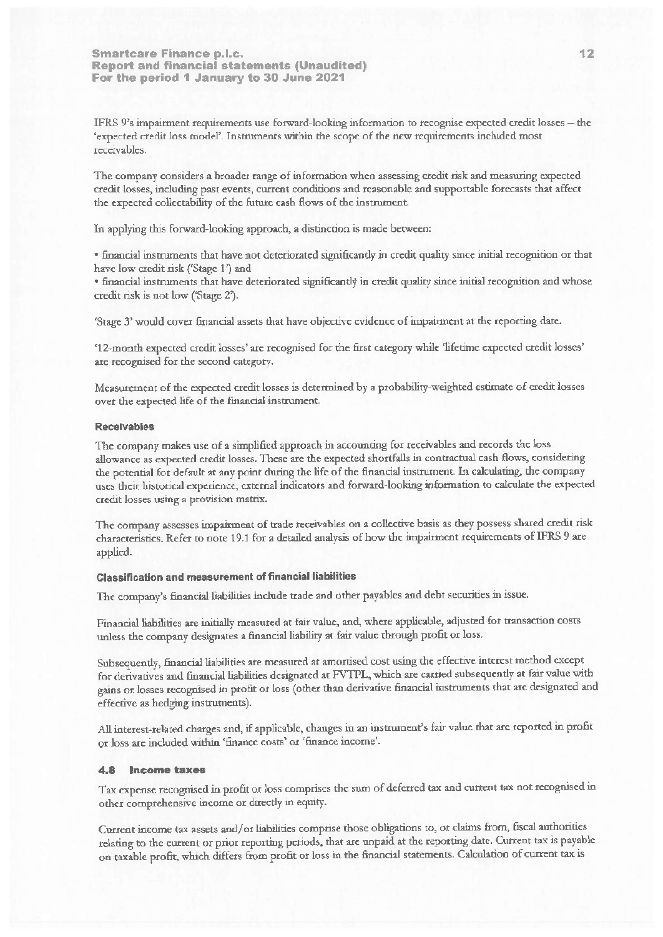IFRS 9's impairment requirements use forward-looking information to recognise expected credit losses - the 'expected credit loss model'. Instruments within the scope of the new requirements included most receivables.

The company considers a broader range of information when assessing credit risk and measuring expected credit losses, including past events, current conditions and reasonable and supportable forecasts that affect the expected collectability of the future cash flows of the instrument.

In applying this forward-looking approach, a distinction is made between:

· financial instruments that have not deteriorated significantly in credit quality since initial recognition or that have low credit risk ('Stage 1') and

· financial instruments that have deteriorated significantly in credit quality since initial recognition and whose credit risk is not low ('Stage 2').

'Stage 3' would cover financial assets that have objective evidence of impairment at the reporting date.

'12-month expected credit losses' are recognised for the first category while 'lifetime expected credit losses' are recognised for the second category.

Measurement of the expected credit losses is determined by a probability-weighted estimate of credit losses over the expected life of the financial instrument.

### **Receivables**

The company makes use of a simplified approach in accounting for receivables and records the loss allowance as expected credit losses. These are the expected shortfalls in contractual cash flows, considering the potential for default at any point during the life of the financial instrument. In calculating, the company uses their historical experience, external indicators and forward-looking information to calculate the expected credit losses using a provision matrix.

The company assesses impairment of trade receivables on a collective basis as they possess shared credit risk characteristics. Refer to note 19.1 for a detailed analysis of how the impairment requirements of IFRS 9 are applied.

## **Classification and measurement of financial liabilities**

The company's financial liabilities include trade and other payables and debt securities in issue.

Financial liabilities are initially measured at fair value, and, where applicable, adjusted for transaction costs unless the company designates a financial liability at fair value through profit or loss.

Subsequently, financial liabilities are measured at amortised cost using the effective interest method except for derivatives and financial liabilities designated at FVTPL, which are carried subsequently at fair value with gains or losses recognised in profit or loss (other than derivative financial instruments that are designated and effective as hedging instruments).

All interest-related charges and, if applicable, changes in an instrument's fair value that are reported in profit or loss are included within 'finance costs' or 'finance income'.

## 4.8 Income taxes

Tax expense recognised in profit or loss comprises the sum of deferred tax and current tax not recognised in other comprehensive income or directly in equity.

Current income tax assets and/or liabilities comprise those obligations to, or claims from, fiscal authorities relating to the current or prior reporting periods, that are unpaid at the reporting date. Current tax is payable on taxable profit, which differs from profit or loss in the financial statements. Calculation of current tax is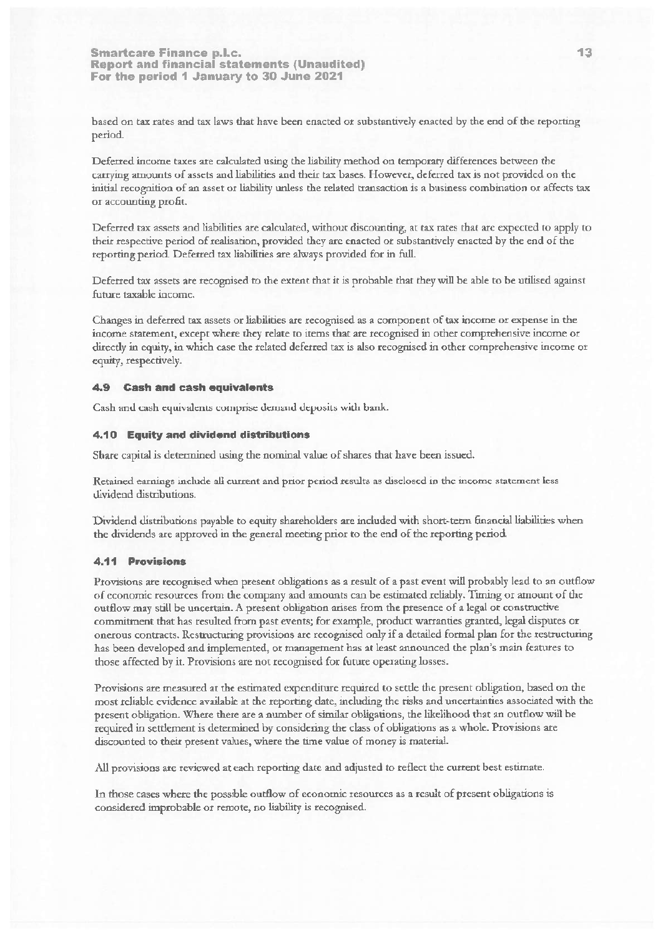based on tax rates and tax laws that have been enacted or substantively enacted by the end of the reporting period.

Deferred income taxes are calculated using the liability method on temporary differences between the carrying amounts of assets and liabilities and their tax bases. However, deferred tax is not provided on the initial recognition of an asset or liability unless the related transaction is a business combination or affects tax or accounting profit.

Deferred tax assets and liabilities are calculated, without discounting, at tax rates that are expected to apply to their respective period of realisation, provided they are enacted or substantively enacted by the end of the reporting period. Deferred tax liabilities are always provided for in full.

Deferred tax assets are recognised to the extent that it is probable that they will be able to be utilised against future taxable income.

Changes in deferred tax assets or liabilities are recognised as a component of tax income or expense in the income statement, except where they relate to items that are recognised in other comprehensive income or directly in equity, in which case the related deferred tax is also recognised in other comprehensive income or equity, respectively.

## 4.9 Cash and cash equivalents

Cash and cash equivalents comprise demand deposits with bank.

# 4.10 Equity and dividend distributions

Share capital is determined using the nominal value of shares that have been issued.

Retained earnings include all current and prior period results as disclosed in the income statement less dividend distributions.

Dividend distributions payable to equity shareholders are included with short-term financial liabilities when the dividends are approved in the general meeting prior to the end of the reporting period.

## 4.11 Provisions

Provisions are recognised when present obligations as a result of a past event will probably lead to an outflow of economic resources from the company and amounts can be estimated reliably. Timing or amount of the outflow may still be uncertain. A present obligation arises from the presence of a legal or constructive commitment that has resulted from past events; for example, product warranties granted, legal disputes or onerous contracts. Restructuring provisions are recognised only if a detailed formal plan for the restructuring has been developed and implemented, or management has at least announced the plan's main features to those affected by it. Provisions are not recognised for future operating losses.

Provisions are measured at the estimated expenditure required to settle the present obligation, based on the most reliable evidence available at the reporting date, including the risks and uncertainties associated with the present obligation. Where there are a number of similar obligations, the likelihood that an outflow will be required in settlement is determined by considering the class of obligations as a whole. Provisions are discounted to their present values, where the time value of money is material.

All provisions are reviewed at each reporting date and adjusted to reflect the current best estimate.

In those cases where the possible outflow of economic resources as a result of present obligations is considered improbable or remote, no liability is recognised.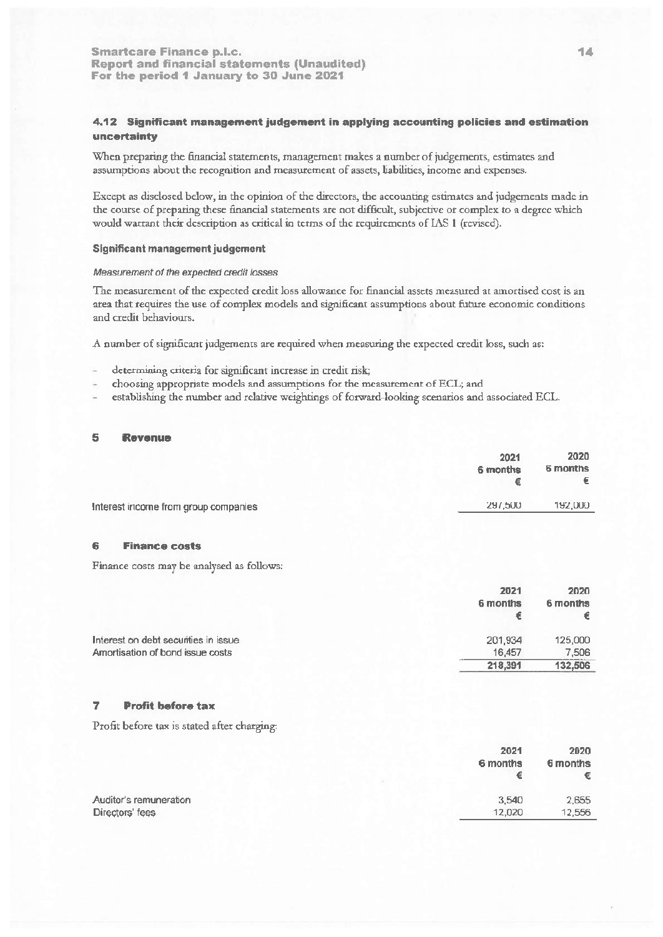# 4.12 Significant management judgement in applying accounting policies and estimation uncertainty

When preparing the financial statements, management makes a number of judgements, estimates and assumptions about the recognition and measurement of assets, liabilities, income and expenses.

Except as disclosed below, in the opinion of the directors, the accounting estimates and judgements made in the course of preparing these financial statements are not difficult, subjective or complex to a degree which would warrant their description as critical in terms of the requirements of IAS 1 (revised).

## **Significant management judgement**

## Measurement of the expected credit losses

The measurement of the expected credit loss allowance for financial assets measured at amortised cost is an area that requires the use of complex models and significant assumptions about future economic conditions and credit behaviours.

A number of significant judgements are required when measuring the expected credit loss, such as:

- determining criteria for significant increase in credit risk;
- choosing appropriate models and assumptions for the measurement of ECL; and
- establishing the number and relative weightings of forward-looking scenarios and associated ECL.

#### 5 Revenue

|                                      | 2021<br>6 months | 2020<br>6 months |
|--------------------------------------|------------------|------------------|
| Interest income from group companies | 297,500          | 192,000          |

#### 6 **Finance costs**

Finance costs may be analysed as follows:

|                                      | 2021<br>6 months | 2020<br>6 months |
|--------------------------------------|------------------|------------------|
| Interest on debt securities in issue | 201,934          | 125,000          |
| Amortisation of bond issue costs     | 16.457           | 7.506            |
|                                      | 218,391          | 132,506          |

#### 7 **Profit before tax**

Profit before tax is stated after charging:

|                        | 2021<br>6 months | 2020<br>6 months<br>€ |
|------------------------|------------------|-----------------------|
| Auditor's remuneration | 3.540            | 2,655                 |
| Directors' fees        | 12,020           | 12,556                |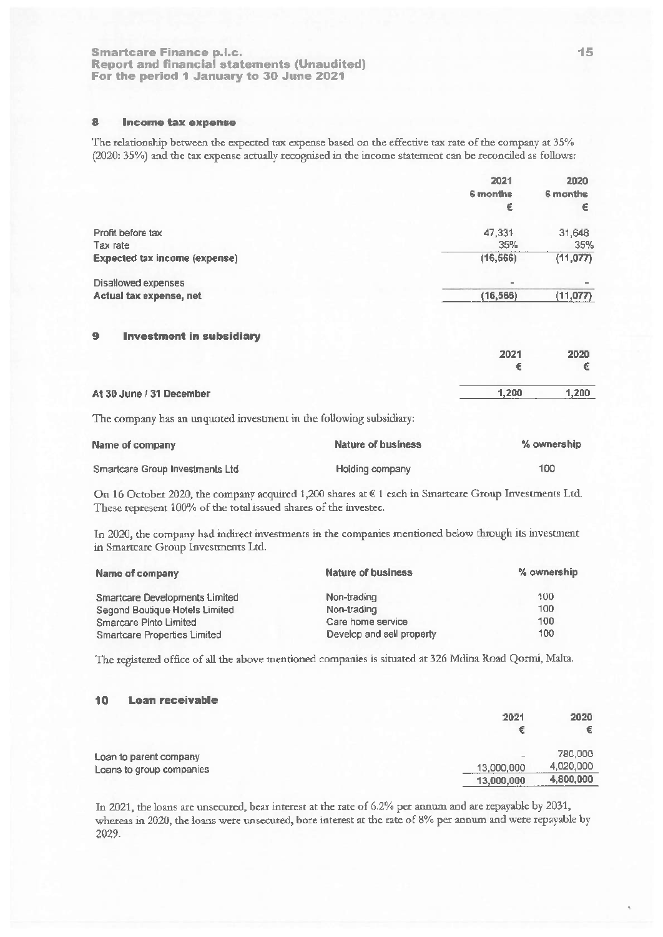#### 8 Income tax expense

The relationship between the expected tax expense based on the effective tax rate of the company at 35% (2020: 35%) and the tax expense actually recognised in the income statement can be reconciled as follows:

|                                      | 2021      | 2020     |
|--------------------------------------|-----------|----------|
|                                      | 6 months  | 6 months |
|                                      | €         | €        |
| Profit before tax                    | 47,331    | 31,648   |
| Tax rate                             | 35%       | 35%      |
| <b>Expected tax income (expense)</b> | (16, 566) | (11,077) |
| Disallowed expenses                  | ۰         |          |
| Actual tax expense, net              | (16, 566) | (11,077) |
|                                      |           |          |

#### 9 **Investment in subsidiary**

|                          | 2021  | 2020  |
|--------------------------|-------|-------|
|                          |       | €     |
| At 30 June / 31 December | 1,200 | 1,200 |
|                          |       |       |

The company has an unquoted investment in the following subsidiary:

| Name of company                 | Nature of business | % ownership |
|---------------------------------|--------------------|-------------|
| Smartcare Group Investments Ltd | Holding company    | 100         |

On 16 October 2020, the company acquired 1,200 shares at € 1 each in Smartcare Group Investments Ltd. These represent 100% of the total issued shares of the investee.

In 2020, the company had indirect investments in the companies mentioned below through its investment in Smartcare Group Investments Ltd.

| Name of company                       | <b>Nature of business</b> | % ownership |
|---------------------------------------|---------------------------|-------------|
| <b>Smartcare Developments Limited</b> | Non-trading               | 100         |
| Segond Boutique Hotels Limited        | Non-trading               | 100         |
| <b>Smarcare Pinto Limited</b>         | Care home service         | 100         |
| <b>Smartcare Properties Limited</b>   | Develop and sell property | 100         |

The registered office of all the above mentioned companies is situated at 326 Mdina Road Qormi, Malta.

#### **Loan receivable** 10

| 2021       | 2020<br>€ |
|------------|-----------|
| $\,$       | 780,000   |
| 13,000,000 | 4,020,000 |
| 13,000,000 | 4,800,000 |
|            |           |

In 2021, the loans are unsecured, bear interest at the rate of 6.2% per annum and are repayable by 2031, whereas in 2020, the loans were unsecured, bore interest at the rate of 8% per annum and were repayable by 2029.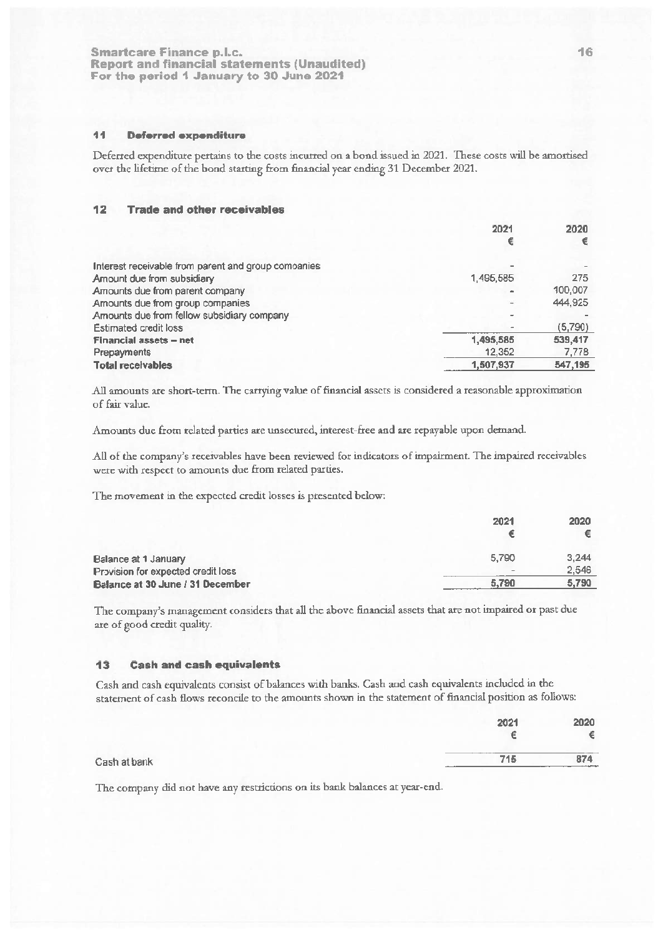#### 44 **Deferred expenditure**

Deferred expenditure pertains to the costs incurred on a bond issued in 2021. These costs will be amortised over the lifetime of the bond starting from financial year ending 31 December 2021.

#### $12$ **Trade and other receivables**

|                                                     | 2021                     | 2020    |
|-----------------------------------------------------|--------------------------|---------|
|                                                     | €                        | €       |
| Interest receivable from parent and group companies | $\overline{\phantom{a}}$ |         |
|                                                     |                          |         |
| Amount due from subsidiary                          | 1,495,585                | 275     |
| Amounts due from parent company                     | a.                       | 100,007 |
| Amounts due from group companies                    | $\omega$                 | 444,925 |
| Amounts due from fellow subsidiary company          |                          |         |
| <b>Estimated credit loss</b>                        |                          | (5,790) |
| <b>Financial assets - net</b>                       | 1,495,585                | 539,417 |
| Prepayments                                         | 12,352                   | 7,778   |
| <b>Total receivables</b>                            | 1,507,937                | 547,195 |
|                                                     |                          |         |

All amounts are short-term. The carrying value of financial assets is considered a reasonable approximation of fair value.

Amounts due from related parties are unsecured, interest-free and are repayable upon demand.

All of the company's receivables have been reviewed for indicators of impairment. The impaired receivables were with respect to amounts due from related parties.

The movement in the expected credit losses is presented below:

|                                    | 2021                     | 2020  |
|------------------------------------|--------------------------|-------|
|                                    |                          |       |
| Balance at 1 January               | 5.790                    | 3,244 |
| Provision for expected credit loss | $\overline{\phantom{a}}$ | 2,546 |
| Balance at 30 June / 31 December   | 5,790                    | 5,790 |

The company's management considers that all the above financial assets that are not impaired or past due are of good credit quality.

#### **Cash and cash equivalents**  $13$

Cash and cash equivalents consist of balances with banks. Cash and cash equivalents included in the statement of cash flows reconcile to the amounts shown in the statement of financial position as follows:

|              | 2021 | 2020                     |
|--------------|------|--------------------------|
|              |      | €                        |
| Cash at bank | 715  | 874<br><b>STATISTICS</b> |
|              |      |                          |

The company did not have any restrictions on its bank balances at year-end.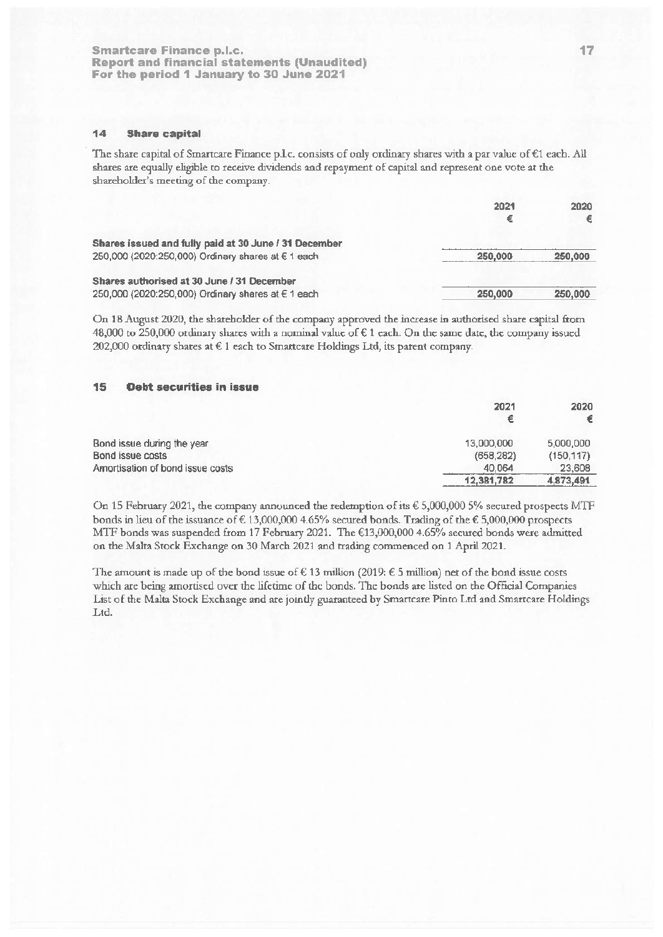#### 14 **Share capital**

The share capital of Smartcare Finance p.l.c. consists of only ordinary shares with a par value of  $\epsilon$ 1 each. All shares are equally eligible to receive dividends and repayment of capital and represent one vote at the shareholder's meeting of the company.

|                                                                                                             | 2021<br>€ | 2020<br>€ |
|-------------------------------------------------------------------------------------------------------------|-----------|-----------|
| Shares issued and fully paid at 30 June / 31 December<br>250,000 (2020:250,000) Ordinary shares at € 1 each | 250,000   | 250,000   |
| Shares authorised at 30 June / 31 December<br>250,000 (2020:250,000) Ordinary shares at € 1 each            | 250,000   | 250,000   |

On 18 August 2020, the shareholder of the company approved the increase in authorised share capital from 48,000 to 250,000 ordinary shares with a nominal value of  $\epsilon$  1 each. On the same date, the company issued 202,000 ordinary shares at € 1 each to Smartcare Holdings Ltd, its parent company.

#### 15 **Debt securities in issue**

|                                  | 2021<br>€  | 2020       |
|----------------------------------|------------|------------|
| Bond issue during the year       | 13,000,000 | 5,000,000  |
| Bond issue costs                 | (658, 282) | (150, 117) |
| Amortisation of bond issue costs | 40.064     | 23,608     |
|                                  | 12,381,782 | 4,873,491  |

On 15 February 2021, the company announced the redemption of its  $\epsilon$  5,000,000 5% secured prospects MTF bonds in lieu of the issuance of  $\in 13,000,000$  4.65% secured bonds. Trading of the  $\epsilon$  5,000,000 prospects MTF bonds was suspended from 17 February 2021. The €13,000,000 4.65% secured bonds were admitted on the Malta Stock Exchange on 30 March 2021 and trading commenced on 1 April 2021.

The amount is made up of the bond issue of  $\epsilon$  13 million (2019:  $\epsilon$  5 million) net of the bond issue costs which are being amortised over the lifetime of the bonds. The bonds are listed on the Official Companies List of the Malta Stock Exchange and are jointly guaranteed by Smartcare Pinto Ltd and Smartcare Holdings Ltd.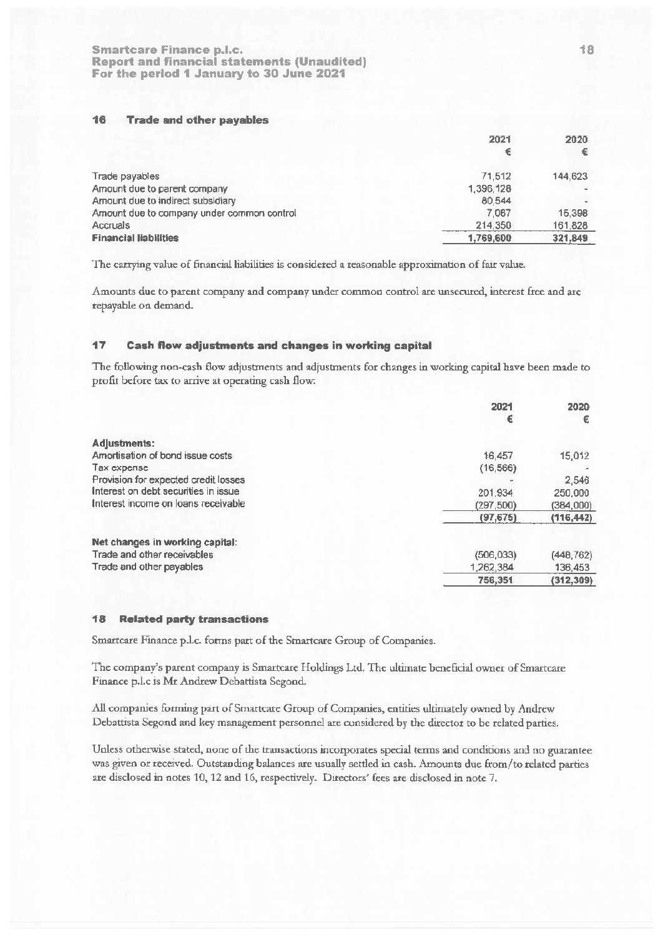#### 16 **Trade and other payables**

|                                            | 2021      | 2020    |
|--------------------------------------------|-----------|---------|
| Trade payables                             | 71.512    | 144,623 |
| Amount due to parent company               | 1,396,128 |         |
| Amount due to indirect subsidiary          | 80.544    |         |
| Amount due to company under common control | 7.067     | 15,398  |
| Accruals                                   | 214,350   | 161,828 |
| <b>Financial liabilities</b>               | 1,769,600 | 321,849 |

The carrying value of financial liabilities is considered a reasonable approximation of fair value.

Amounts due to parent company and company under common control are unsecured, interest free and are repayable on demand.

#### 17 **Cash flow adjustments and changes in working capital**

The following non-cash flow adjustments and adjustments for changes in working capital have been made to profit before tax to arrive at operating cash flow:

|                                      | 2021       | 2020       |
|--------------------------------------|------------|------------|
|                                      | €          | €          |
| Adjustments:                         |            |            |
| Amortisation of bond issue costs     | 16,457     | 15,012     |
| Tax expense                          | (16, 566)  |            |
| Provision for expected credit losses |            | 2,546      |
| Interest on debt securities in issue | 201.934    | 250,000    |
| Interest income on loans receivable  | (297.500)  | (384,000)  |
|                                      | (97, 675)  | (116, 442) |
| Net changes in working capital:      |            |            |
| Trade and other receivables          | (506, 033) | (448, 762) |
| Trade and other payables             | 1,262,384  | 136,453    |
|                                      | 756,351    | (312, 309) |

#### 18 **Related party transactions**

Smartcare Finance p.l.c. forms part of the Smartcare Group of Companies.

The company's parent company is Smartcare Holdings Ltd. The ultimate beneficial owner of Smartcare Finance p.l.c is Mr Andrew Debattista Segond.

All companies forming part of Smartcare Group of Companies, entities ultimately owned by Andrew Debattista Segond and key management personnel are considered by the director to be related parties.

Unless otherwise stated, none of the transactions incorporates special terms and conditions and no guarantee was given or received. Outstanding balances are usually settled in cash. Amounts due from/to related parties are disclosed in notes 10, 12 and 16, respectively. Directors' fees are disclosed in note 7.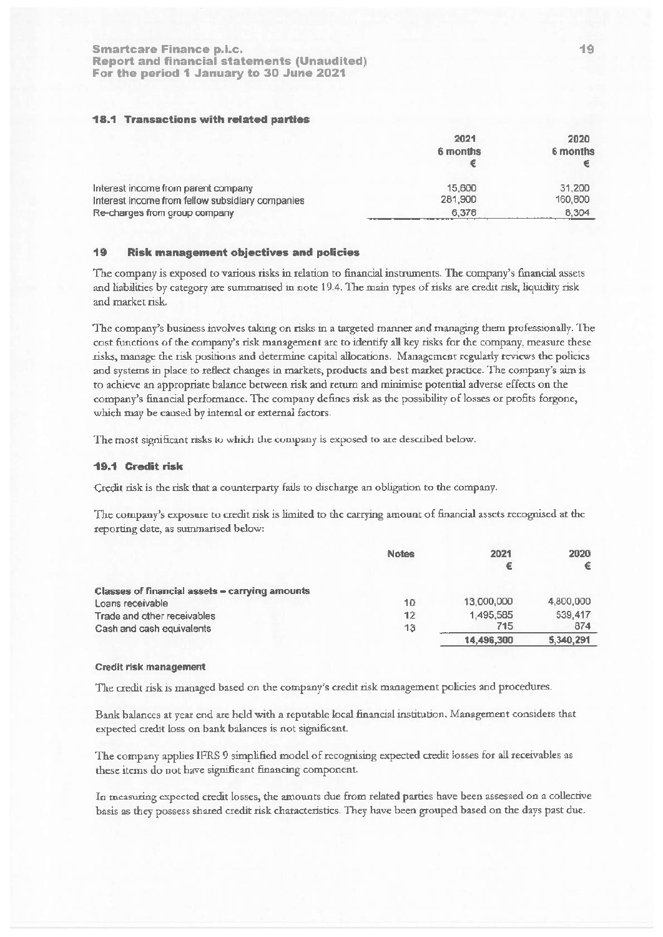## **18.1 Transactions with related parties**

|                                                                                         | 2021<br>6 months  | 2020<br>6 months  |  |
|-----------------------------------------------------------------------------------------|-------------------|-------------------|--|
| Interest income from parent company<br>Interest income from fellow subsidiary companies | 15,600<br>281,900 | 31,200<br>160,800 |  |
| Re-charges from group company                                                           | 6,378             | 8.304             |  |

#### **Risk management objectives and policies** 19

The company is exposed to various risks in relation to financial instruments. The company's financial assets and liabilities by category are summarised in note 19.4. The main types of risks are credit risk, liquidity risk and market risk.

The company's business involves taking on risks in a targeted manner and managing them professionally. The cost functions of the company's risk management arc to identify all key risks for the company, measure these risks, manage the risk positions and determine capital allocations. Management regularly reviews the policies and systems in place to reflect changes in markets, products and best market practice. The company's aim is to achieve an appropriate balance between risk and return and minimise potential adverse effects on the company's financial performance. The company defines risk as the possibility of losses or profits forgone, which may be caused by internal or external factors.

The most significant risks to which the company is exposed to are described below.

## 19.1 Credit risk

Credit risk is the risk that a counterparty fails to discharge an obligation to the company.

The company's exposure to credit risk is limited to the carrying amount of financial assets recognised at the reporting date, as summarised below:

|                                                | <b>Notes</b> | 2021       | 2020      |
|------------------------------------------------|--------------|------------|-----------|
|                                                |              | €          |           |
| Classes of financial assets - carrying amounts |              |            |           |
| Loans receivable                               | 10           | 13,000,000 | 4,800,000 |
| Trade and other receivables                    | 12           | 1,495,585  | 539.417   |
| Cash and cash equivalents                      | 13           | 715        | 874       |
|                                                |              | 14.496.300 | 5,340,291 |

### Credit risk management

The credit risk is managed based on the company's credit risk management policies and procedures.

Bank balances at year end are held with a reputable local financial institution. Management considers that expected credit loss on bank balances is not significant.

The company applies IFRS 9 simplified model of recognising expected credit losses for all receivables as these items do not have significant financing component.

In measuring expected credit losses, the amounts due from related parties have been assessed on a collective basis as they possess shared credit risk characteristics. They have been grouped based on the days past due.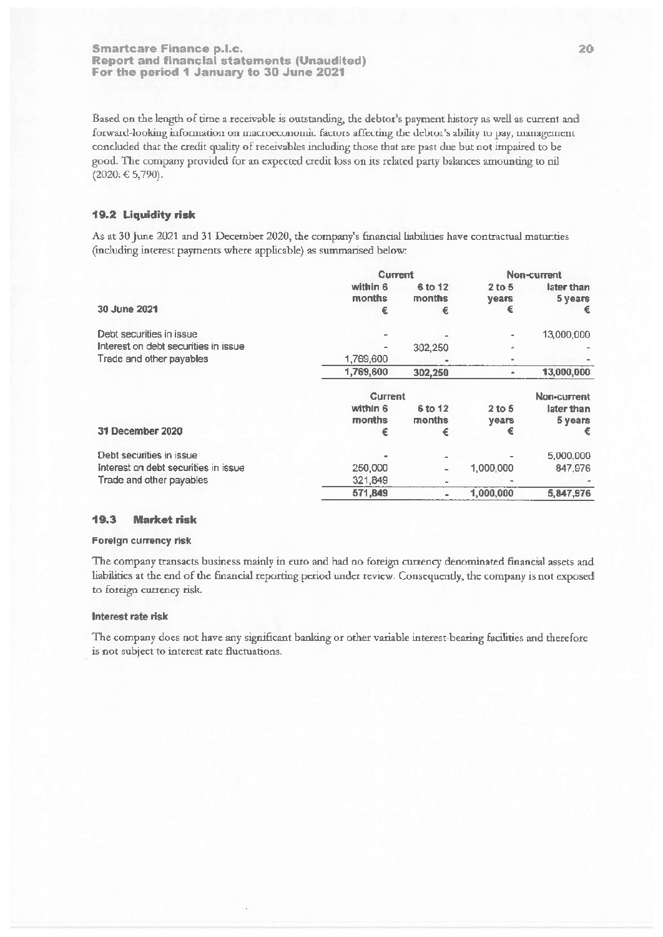Based on the length of time a receivable is outstanding, the debtor's payment history as well as current and forward-looking information on macroeconomic factors affecting the debtor's ability to pay, management concluded that the credit quality of receivables including those that are past due but not impaired to be good. The company provided for an expected credit loss on its related party balances amounting to nil  $(2020: € 5,790).$ 

## 19.2 Liquidity risk

As at 30 June 2021 and 31 December 2020, the company's financial liabilities have contractual maturities (including interest payments where applicable) as summarised below:

|                                      | <b>Current</b>     |                          | Non-current              |                       |
|--------------------------------------|--------------------|--------------------------|--------------------------|-----------------------|
|                                      | within 6<br>months | 6 to 12<br>months        | $2$ to 5<br><b>years</b> | later than<br>5 years |
| 30 June 2021                         | €                  | €                        | €                        |                       |
| Debt securities in issue             |                    |                          | $\mathbf{m}$             | 13,000,000            |
| Interest on debt securities in issue |                    | 302,250                  | $\sim$                   |                       |
| Trade and other payables             | 1,769,600          |                          | $\sim$                   |                       |
|                                      | 1,769,600          | 302,250                  | ٠                        | 13,000,000            |
|                                      | <b>Current</b>     |                          |                          | <b>Non-current</b>    |
|                                      | within 6<br>months | 6 to 12<br>months        | 2 to 5<br>years          | later than<br>5 years |
| 31 December 2020                     | €                  | €                        | €                        | €                     |
| Debt securities in issue             |                    |                          |                          | 5,000,000             |
| Interest on debt securities in issue | 250,000            | ٠                        | 1.000.000                | 847,976               |
| Trade and other payables             | 321,849            | $\overline{\phantom{a}}$ |                          |                       |
|                                      | 571,849            |                          | 1,000,000                | 5,847,976             |

#### 19.3 **Market risk**

## Foreign currency risk

The company transacts business mainly in euro and had no foreign currency denominated financial assets and liabilities at the end of the financial reporting period under review. Consequently, the company is not exposed to foreign currency risk.

## Interest rate risk

The company does not have any significant banking or other variable interest-bearing facilities and therefore is not subject to interest rate fluctuations.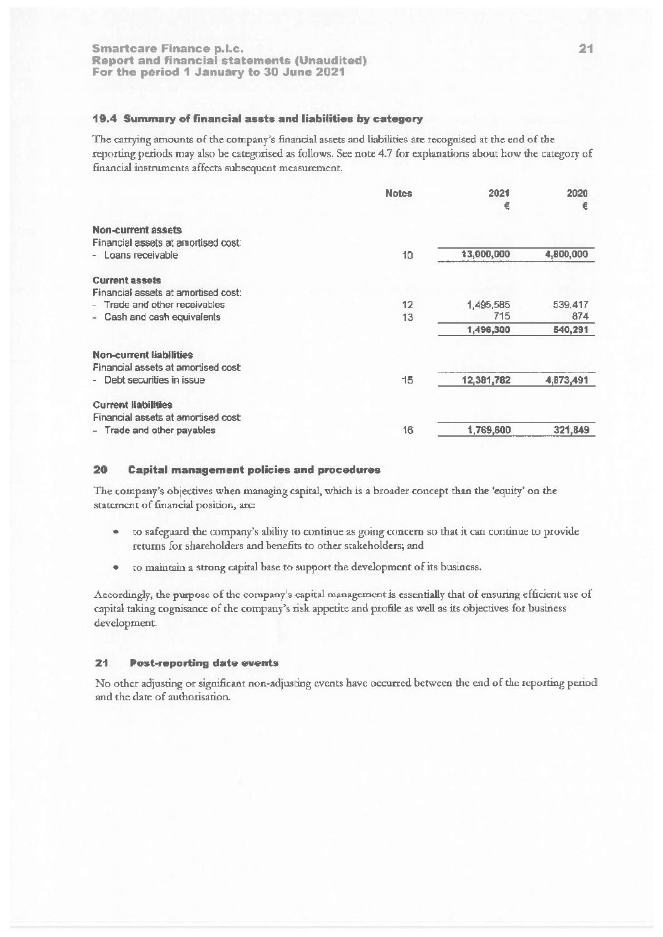# 19.4 Summary of financial assts and liabilities by category

The carrying amounts of the company's financial assets and liabilities are recognised at the end of the reporting periods may also be categorised as follows. See note 4.7 for explanations about how the category of financial instruments affects subsequent measurement.

|                                     | <b>Notes</b> | 2021<br>€  | 2020<br>€ |
|-------------------------------------|--------------|------------|-----------|
| Non-current assets                  |              |            |           |
| Financial assets at amortised cost  |              |            |           |
| - Loans receivable                  | 10           | 13,000,000 | 4,800,000 |
| <b>Current assets</b>               |              |            |           |
| Financial assets at amortised cost: |              |            |           |
| - Trade and other receivables       | 12           | 1,495,585  | 539,417   |
| - Cash and cash equivalents         | 13           | 715        | 874       |
|                                     |              | 1,496,300  | 540,291   |
| <b>Non-current liabilities</b>      |              |            |           |
| Financial assets at amortised cost: |              |            |           |
| - Debt securities in issue          | 15           | 12,381,782 | 4,873,491 |
| <b>Current liabilities</b>          |              |            |           |
| Financial assets at amortised cost: |              |            |           |
| - Trade and other payables          | 16           | 1,769,600  | 321,849   |
|                                     |              |            |           |

#### 20 **Capital management policies and procedures**

The company's objectives when managing capital, which is a broader concept than the 'equity' on the statement of financial position, are:

- to safeguard the company's ability to continue as going concern so that it can continue to provide  $\bullet$ returns for shareholders and benefits to other stakeholders; and
- to maintain a strong capital base to support the development of its business.

Accordingly, the purpose of the company's capital management is essentially that of ensuring efficient use of capital taking cognisance of the company's risk appetite and profile as well as its objectives for business development.

#### $21$ **Post-reporting date events**

No other adjusting or significant non-adjusting events have occurred between the end of the reporting period and the date of authorisation.